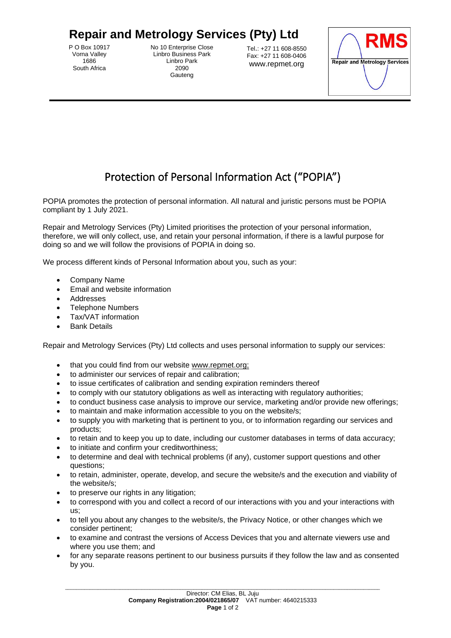## **Repair and Metrology Services (Pty) Ltd**

P O Box 10917 Vorna Valley 1686 South Africa

No 10 Enterprise Close Linbro Business Park Linbro Park 2090 Gauteng

Tel.: +27 11 608-8550 Fax: +27 11 608-0406 www.repmet.org



## Protection of Personal Information Act ("POPIA")

POPIA promotes the protection of personal information. All natural and juristic persons must be POPIA compliant by 1 July 2021.

Repair and Metrology Services (Pty) Limited prioritises the protection of your personal information, therefore, we will only collect, use, and retain your personal information, if there is a lawful purpose for doing so and we will follow the provisions of POPIA in doing so.

We process different kinds of Personal Information about you, such as your:

- Company Name
- Email and website information
- Addresses
- Telephone Numbers
- Tax/VAT information
- **Bank Details**

Repair and Metrology Services (Pty) Ltd collects and uses personal information to supply our services:

- that you could find from our website www.repmet.org;
- to administer our services of repair and calibration;
- to issue certificates of calibration and sending expiration reminders thereof
- to comply with our statutory obligations as well as interacting with regulatory authorities;
- to conduct business case analysis to improve our service, marketing and/or provide new offerings;
- to maintain and make information accessible to you on the website/s;
- to supply you with marketing that is pertinent to you, or to information regarding our services and products;
- to retain and to keep you up to date, including our customer databases in terms of data accuracy;
- to initiate and confirm your creditworthiness;
- to determine and deal with technical problems (if any), customer support questions and other questions;
- to retain, administer, operate, develop, and secure the website/s and the execution and viability of the website/s;
- to preserve our rights in any litigation;
- to correspond with you and collect a record of our interactions with you and your interactions with us;
- to tell you about any changes to the website/s, the Privacy Notice, or other changes which we consider pertinent;
- to examine and contrast the versions of Access Devices that you and alternate viewers use and where you use them; and
- for any separate reasons pertinent to our business pursuits if they follow the law and as consented by you.